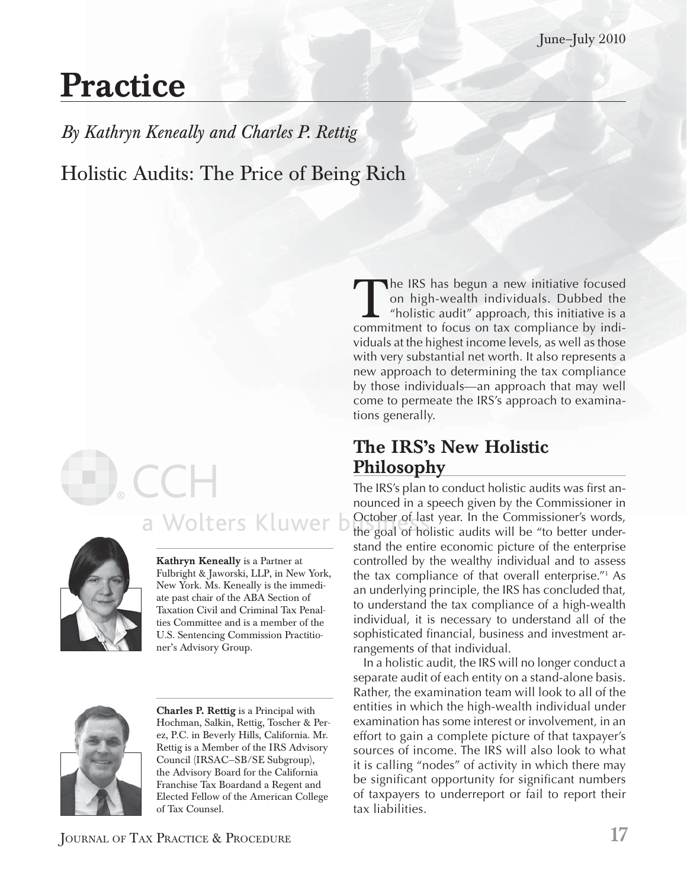# **Practice**

*By Kathryn Keneally and Charles P. Rettig* Holistic Audits: The Price of Being Rich

# a Wolters Kluwer b



**Kathryn Keneally** is a Partner at Fulbright & Jaworski, LLP, in New York, New York. Ms. Keneally is the immediate past chair of the ABA Section of Taxation Civil and Criminal Tax Penalties Committee and is a member of the U.S. Sentencing Commission Practitioner's Advisory Group.



**Charles P. Rettig** is a Principal with Hochman, Salkin, Rettig, Toscher & Perez, P.C. in Beverly Hills, California. Mr. Rettig is a Member of the IRS Advisory Council (IRSAC—SB/SE Subgroup), the Advisory Board for the California Franchise Tax Boardand a Regent and Elected Fellow of the American College of Tax Counsel.

The IRS has begun a new initiative focused<br>on high-wealth individuals. Dubbed the<br>"holistic audit" approach, this initiative is a<br>commitment to focus on tax compliance by indion high-wealth individuals. Dubbed the "holistic audit" approach, this initiative is a commitment to focus on tax compliance by individuals at the highest income levels, as well as those with very substantial net worth. It also represents a new approach to determining the tax compliance by those individuals—an approach that may well come to permeate the IRS's approach to examinations generally.

#### **The IRS's New Holistic Philosophy**

The IRS's plan to conduct holistic audits was first announced in a speech given by the Commissioner in October of last year. In the Commissioner's words, the goal of holistic audits will be "to better understand the entire economic picture of the enterprise controlled by the wealthy individual and to assess the tax compliance of that overall enterprise."<sup>1</sup> As an underlying principle, the IRS has concluded that, to understand the tax compliance of a high-wealth individual, it is necessary to understand all of the sophisticated financial, business and investment arrangements of that individual.

In a holistic audit, the IRS will no longer conduct a separate audit of each entity on a stand-alone basis. Rather, the examination team will look to all of the entities in which the high-wealth individual under examination has some interest or involvement, in an effort to gain a complete picture of that taxpayer's sources of income. The IRS will also look to what it is calling "nodes" of activity in which there may be significant opportunity for significant numbers of taxpayers to underreport or fail to report their tax liabilities.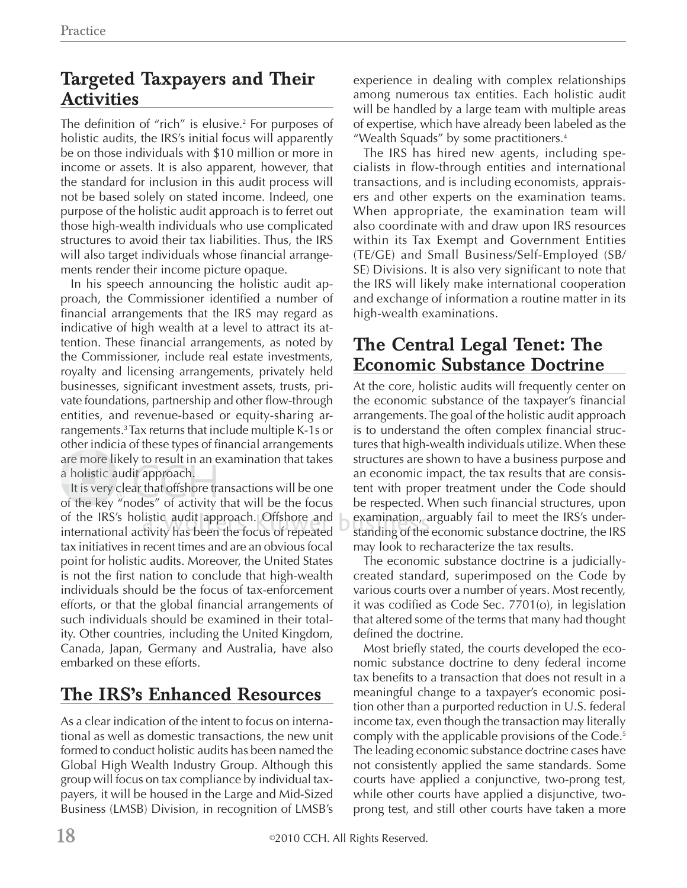#### **Targeted Taxpayers and Their Activities**

The definition of "rich" is elusive. $^2$  For purposes of holistic audits, the IRS's initial focus will apparently be on those individuals with \$10 million or more in income or assets. It is also apparent, however, that the standard for inclusion in this audit process will not be based solely on stated income. Indeed, one purpose of the holistic audit approach is to ferret out those high-wealth individuals who use complicated structures to avoid their tax liabilities. Thus, the IRS will also target individuals whose financial arrangements render their income picture opaque.

In his speech announcing the holistic audit approach, the Commissioner identified a number of financial arrangements that the IRS may regard as indicative of high wealth at a level to attract its attention. These financial arrangements, as noted by the Commissioner, include real estate investments, royalty and licensing arrangements, privately held businesses, significant investment assets, trusts, private foundations, partnership and other flow-through entities, and revenue-based or equity-sharing arrangements.<sup>3</sup> Tax returns that include multiple K-1s or other indicia of these types of financial arrangements are more likely to result in an examination that takes are more likely to result in<br>a holistic audit approach.

holistic audit approach.<br>It is very clear that offshore transactions will be one of the key "nodes" of activity that will be the focus of the IRS's holistic audit approach. Offshore and international activity has been the focus of repeated tax initiatives in recent times and are an obvious focal point for holistic audits. Moreover, the United States is not the first nation to conclude that high-wealth individuals should be the focus of tax-enforcement efforts, or that the global financial arrangements of such individuals should be examined in their totality. Other countries, including the United Kingdom, Canada, Japan, Germany and Australia, have also embarked on these efforts.

#### **The IRS's Enhanced Resources**

As a clear indication of the intent to focus on international as well as domestic transactions, the new unit formed to conduct holistic audits has been named the Global High Wealth Industry Group. Although this group will focus on tax compliance by individual taxpayers, it will be housed in the Large and Mid-Sized Business (LMSB) Division, in recognition of LMSB's experience in dealing with complex relationships among numerous tax entities. Each holistic audit will be handled by a large team with multiple areas of expertise, which have already been labeled as the "Wealth Squads" by some practitioners.<sup>4</sup>

The IRS has hired new agents, including specialists in flow-through entities and international transactions, and is including economists, appraisers and other experts on the examination teams. When appropriate, the examination team will also coordinate with and draw upon IRS resources within its Tax Exempt and Government Entities (TE/GE) and Small Business/Self-Employed (SB/ SE) Divisions. It is also very significant to note that the IRS will likely make international cooperation and exchange of information a routine matter in its high-wealth examinations.

#### **The Central Legal Tenet: The Economic Substance Doctrine**

At the core, holistic audits will frequently center on the economic substance of the taxpayer's financial arrangements. The goal of the holistic audit approach is to understand the often complex financial structures that high-wealth individuals utilize. When these structures are shown to have a business purpose and an economic impact, the tax results that are consistent with proper treatment under the Code should be respected. When such financial structures, upon examination, arguably fail to meet the IRS's under-<br>standing of the economic substance doctrine, the IRS standing of the economic substance doctrine, the IRS may look to recharacterize the tax results.

The economic substance doctrine is a judiciallycreated standard, superimposed on the Code by various courts over a number of years. Most recently, it was codified as Code Sec.  $7701$ (o), in legislation that altered some of the terms that many had thought defined the doctrine.

Most briefly stated, the courts developed the economic substance doctrine to deny federal income tax benefits to a transaction that does not result in a meaningful change to a taxpayer's economic position other than a purported reduction in U.S. federal income tax, even though the transaction may literally comply with the applicable provisions of the Code.<sup>5</sup> The leading economic substance doctrine cases have not consistently applied the same standards. Some courts have applied a conjunctive, two-prong test, while other courts have applied a disjunctive, twoprong test, and still other courts have taken a more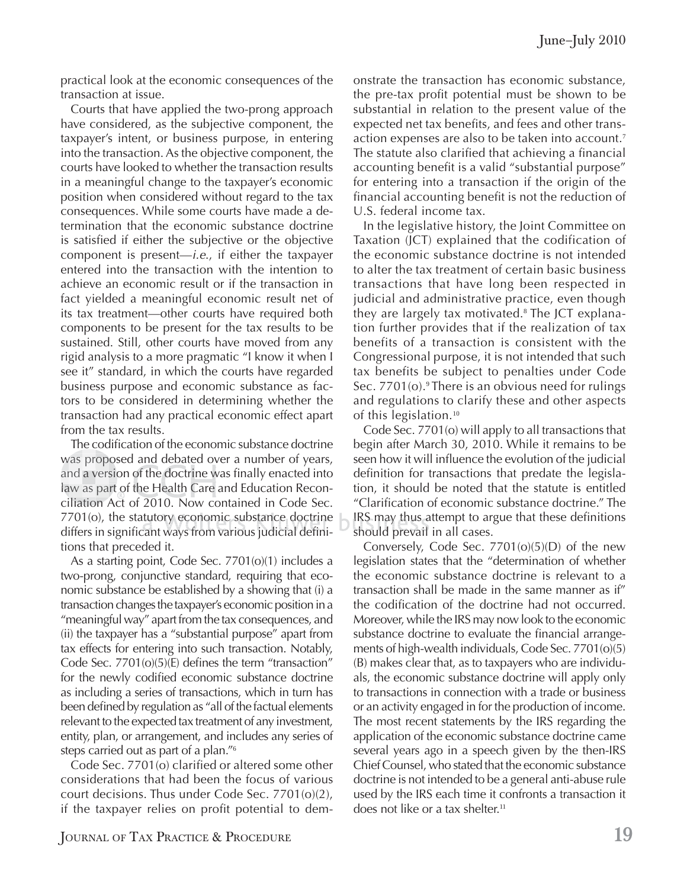practical look at the economic consequences of the transaction at issue.

Courts that have applied the two-prong approach have considered, as the subjective component, the taxpayer's intent, or business purpose, in entering into the transaction. As the objective component, the courts have looked to whether the transaction results in a meaningful change to the taxpayer's economic position when considered without regard to the tax consequences. While some courts have made a determination that the economic substance doctrine is satisfied if either the subjective or the objective component is present—*i.e*., if either the taxpayer entered into the transaction with the intention to achieve an economic result or if the transaction in fact yielded a meaningful economic result net of its tax treatment—other courts have required both components to be present for the tax results to be sustained. Still, other courts have moved from any rigid analysis to a more pragmatic "I know it when I see it" standard, in which the courts have regarded business purpose and economic substance as factors to be considered in determining whether the transaction had any practical economic effect apart from the tax results.

The codification of the economic substance doctrine was proposed and debated over a number of years, was prop o w pr was proposed and debated over a number of years,<br>and a version of the doctrine was finally enacted into law as part of the Health Care and Education Reconciliation Act of 2010. Now contained in Code Sec. iliation A  $7701$ (o), the statutory economic substance doctrine 7701(o), the statutory economic substance doctrine<br>differs in significant ways from various judicial definitions that preceded it.

As a starting point, Code Sec. 7701(o)(1) includes a two-prong, conjunctive standard, requiring that economic substance be established by a showing that (i) a transaction changes the taxpayer's economic position in a "meaningful way" apart from the tax consequences, and (ii) the taxpayer has a "substantial purpose" apart from tax effects for entering into such transaction. Notably, Code Sec.  $7701($ o $)$  $(5)$  $($ E) defines the term "transaction" for the newly codified economic substance doctrine as including a series of transactions, which in turn has been defined by regulation as "all of the factual elements relevant to the expected tax treatment of any investment, entity, plan, or arrangement, and includes any series of steps carried out as part of a plan."<sup>6</sup>

Code Sec. 7701(o) clarified or altered some other considerations that had been the focus of various court decisions. Thus under Code Sec. 7701(o)(2), if the taxpayer relies on profit potential to demonstrate the transaction has economic substance, the pre-tax profit potential must be shown to be substantial in relation to the present value of the expected net tax benefits, and fees and other transaction expenses are also to be taken into account.<sup>7</sup> The statute also clarified that achieving a financial accounting benefit is a valid "substantial purpose" for entering into a transaction if the origin of the financial accounting benefit is not the reduction of U.S. federal income tax.

In the legislative history, the Joint Committee on Taxation (JCT) explained that the codification of the economic substance doctrine is not intended to alter the tax treatment of certain basic business transactions that have long been respected in judicial and administrative practice, even though they are largely tax motivated.<sup>8</sup> The JCT explanation further provides that if the realization of tax benefits of a transaction is consistent with the Congressional purpose, it is not intended that such tax benefits be subject to penalties under Code Sec. 7701(o).<sup>9</sup> There is an obvious need for rulings and regulations to clarify these and other aspects of this legislation.<sup>10</sup>

Code Sec. 7701(o) will apply to all transactions that begin after March 30, 2010. While it remains to be seen how it will influence the evolution of the judicial definition for transactions that predate the legislation, it should be noted that the statute is entitled "Clarification of economic substance doctrine." The IRS may thus attempt to argue that these definitions should prevail in all cases.

Conversely, Code Sec. 7701(o)(5)(D) of the new legislation states that the "determination of whether the economic substance doctrine is relevant to a transaction shall be made in the same manner as if" the codification of the doctrine had not occurred. Moreover, while the IRS may now look to the economic substance doctrine to evaluate the financial arrangements of high-wealth individuals, Code Sec. 7701(o)(5) (B) makes clear that, as to taxpayers who are individuals, the economic substance doctrine will apply only to transactions in connection with a trade or business or an activity engaged in for the production of income. The most recent statements by the IRS regarding the application of the economic substance doctrine came several years ago in a speech given by the then-IRS Chief Counsel, who stated that the economic substance doctrine is not intended to be a general anti-abuse rule used by the IRS each time it confronts a transaction it does not like or a tax shelter.<sup>11</sup>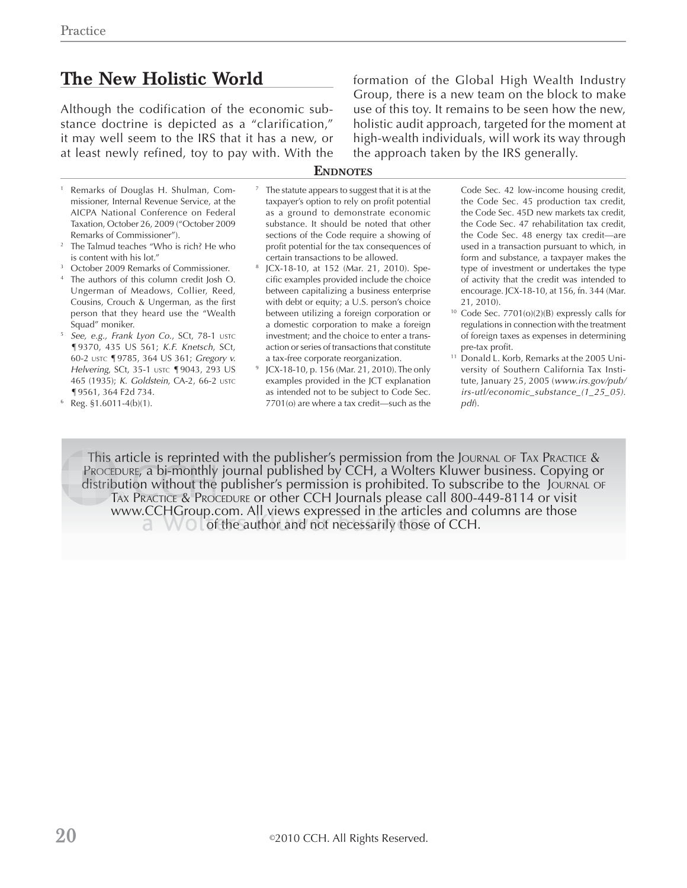### **The New Holistic World**

Although the codification of the economic substance doctrine is depicted as a "clarification," it may well seem to the IRS that it has a new, or at least newly refined, toy to pay with. With the formation of the Global High Wealth Industry Group, there is a new team on the block to make use of this toy. It remains to be seen how the new, holistic audit approach, targeted for the moment at high-wealth individuals, will work its way through the approach taken by the IRS generally.

#### **ENDNOTES**

- 1 Remarks of Douglas H. Shulman, Commissioner, Internal Revenue Service, at the AICPA National Conference on Federal Taxation, October 26, 2009 ("October 2009 Remarks of Commissioner").
- 2 The Talmud teaches "Who is rich? He who
- is content with his lot." 3 October 2009 Remarks of Commissioner.
- 4 The authors of this column credit Josh O. Ungerman of Meadows, Collier, Reed, Cousins, Crouch & Ungerman, as the first person that they heard use the "Wealth Squad" moniker.
- <sup>5</sup> *See, e.g., Frank Lyon Co*., SCt, 78-1 USTC ¶9370, 435 US 561; *K.F. Knetsch*, SCt, 60-2 USTC ¶9785, 364 US 361; *Gregory v. Helvering*, SCt, 35-1 USTC **[**9043, 293 US 465 (1935); *K. Goldstein*, CA-2, 66-2 USTC ¶9561, 364 F2d 734. 6
- Reg. §1.6011-4(b)(1).
- 7 The statute appears to suggest that it is at the taxpayer's option to rely on profit potential as a ground to demonstrate economic substance. It should be noted that other sections of the Code require a showing of profit potential for the tax consequences of certain transactions to be allowed.
- 8 JCX-18-10, at 152 (Mar. 21, 2010). Specific examples provided include the choice between capitalizing a business enterprise with debt or equity; a U.S. person's choice between utilizing a foreign corporation or a domestic corporation to make a foreign investment; and the choice to enter a transaction or series of transactions that constitute a tax-free corporate reorganization.
- JCX-18-10, p. 156 (Mar. 21, 2010). The only examples provided in the JCT explanation as intended not to be subject to Code Sec. 7701(o) are where a tax credit—such as the

Code Sec. 42 low-income housing credit, the Code Sec. 45 production tax credit, the Code Sec. 45D new markets tax credit, the Code Sec. 47 rehabilitation tax credit, the Code Sec. 48 energy tax credit—are used in a transaction pursuant to which, in form and substance, a taxpayer makes the type of investment or undertakes the type of activity that the credit was intended to encourage. JCX-18-10, at 156, fn. 344 (Mar. 21, 2010).

- $10$  Code Sec. 7701(o)(2)(B) expressly calls for regulations in connection with the treatment of foreign taxes as expenses in determining pre-tax profit.
- <sup>11</sup> Donald L. Korb, Remarks at the 2005 University of Southern California Tax Institute, January 25, 2005 (*www.irs.gov/pub/ irs-utl/economic\_substance\_(1\_25\_05). pdf*).

This article is reprinted with the publisher's permission from the Journal of Tax Practice &  $\,$ Procepure, a bi-monthly journal published by CCH, a Wolters Kluwer business. Copying or distribution without the publisher's permission is prohibited. To subscribe to the Journal or TAX PRACTICE & Procedure or other CCH Journals please call 800-449-8114 or visit www.CCHGroup.com. All views expressed in the articles and columns are those of the author and not necessarily those of CCH.